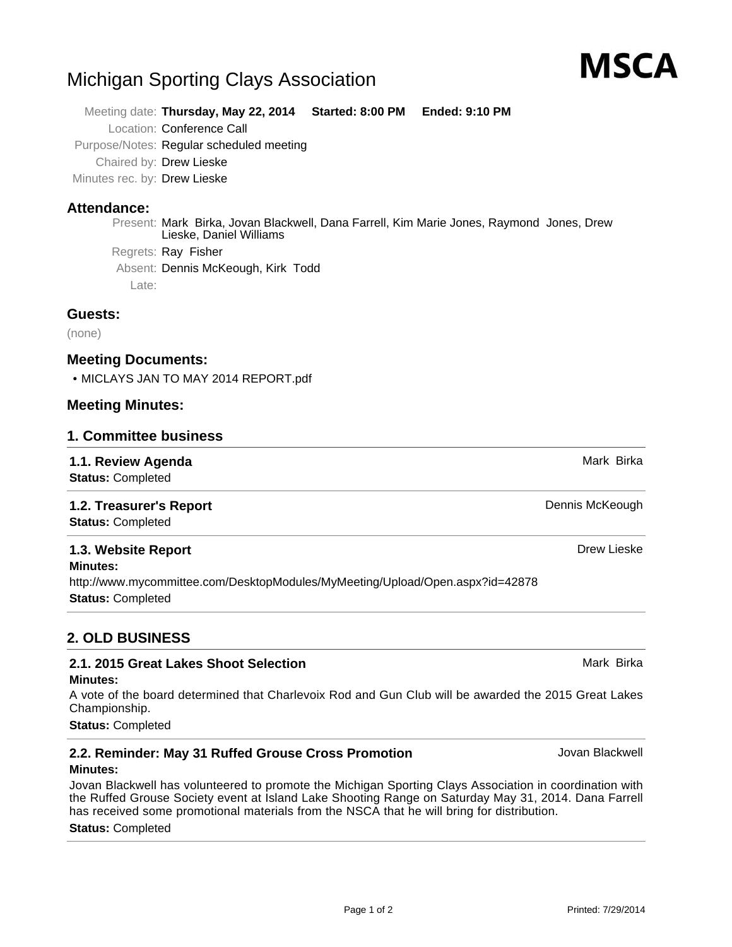# Michigan Sporting Clays Association

Meeting date: **Thursday, May 22, 2014 Started: 8:00 PM Ended: 9:10 PM** Location: Conference Call Purpose/Notes: Regular scheduled meeting Chaired by: Drew Lieske Minutes rec. by: Drew Lieske

# **Attendance:**

Present: Mark Birka, Jovan Blackwell, Dana Farrell, Kim Marie Jones, Raymond Jones, Drew Lieske, Daniel Williams Regrets: Ray Fisher

Absent: Dennis McKeough, Kirk Todd

Late:

### **Guests:**

(none)

# **Meeting Documents:**

• MICLAYS JAN TO MAY 2014 REPORT.pdf

### **Meeting Minutes:**

#### **1. Committee business**

**1.1. Review Agenda** Mark Birka and Agent Birka and Agent Birka and Agent Birka and Agent Birka and Agent Birka **Status:** Completed **1.2. Treasurer's Report Dennis McKeough** Dennis McKeough **Status:** Completed **1.3. Website Report** Drew Lieske **Minutes:** http://www.mycommittee.com/DesktopModules/MyMeeting/Upload/Open.aspx?id=42878

**Status:** Completed

# **2. OLD BUSINESS**

# **2.1. 2015 Great Lakes Shoot Selection** Mark Birka

#### **Minutes:**

A vote of the board determined that Charlevoix Rod and Gun Club will be awarded the 2015 Great Lakes Championship.

**Status:** Completed

# **2.2. Reminder: May 31 Ruffed Grouse Cross Promotion** Jovan Blackwell

#### **Minutes:**

Jovan Blackwell has volunteered to promote the Michigan Sporting Clays Association in coordination with the Ruffed Grouse Society event at Island Lake Shooting Range on Saturday May 31, 2014. Dana Farrell has received some promotional materials from the NSCA that he will bring for distribution.

#### **Status:** Completed

MSCA